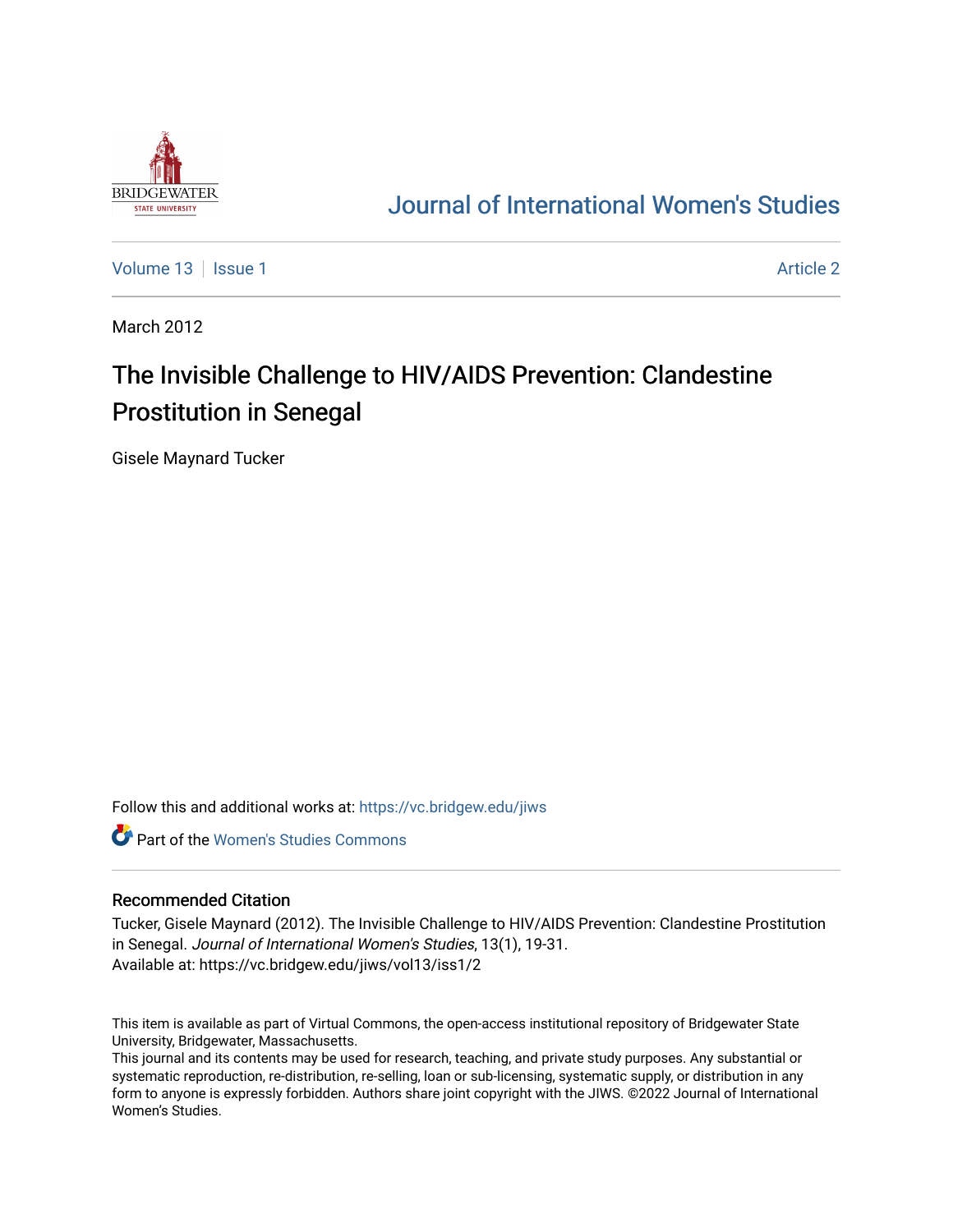

# [Journal of International Women's Studies](https://vc.bridgew.edu/jiws)

[Volume 13](https://vc.bridgew.edu/jiws/vol13) Setup 1 [Article 2](https://vc.bridgew.edu/jiws/vol13/iss1/2) Article 2 Article 2 Article 2 Article 2 Article 2 Article 2

March 2012

# The Invisible Challenge to HIV/AIDS Prevention: Clandestine Prostitution in Senegal

Gisele Maynard Tucker

Follow this and additional works at: [https://vc.bridgew.edu/jiws](https://vc.bridgew.edu/jiws?utm_source=vc.bridgew.edu%2Fjiws%2Fvol13%2Fiss1%2F2&utm_medium=PDF&utm_campaign=PDFCoverPages)

**C** Part of the Women's Studies Commons

#### Recommended Citation

Tucker, Gisele Maynard (2012). The Invisible Challenge to HIV/AIDS Prevention: Clandestine Prostitution in Senegal. Journal of International Women's Studies, 13(1), 19-31. Available at: https://vc.bridgew.edu/jiws/vol13/iss1/2

This item is available as part of Virtual Commons, the open-access institutional repository of Bridgewater State University, Bridgewater, Massachusetts.

This journal and its contents may be used for research, teaching, and private study purposes. Any substantial or systematic reproduction, re-distribution, re-selling, loan or sub-licensing, systematic supply, or distribution in any form to anyone is expressly forbidden. Authors share joint copyright with the JIWS. ©2022 Journal of International Women's Studies.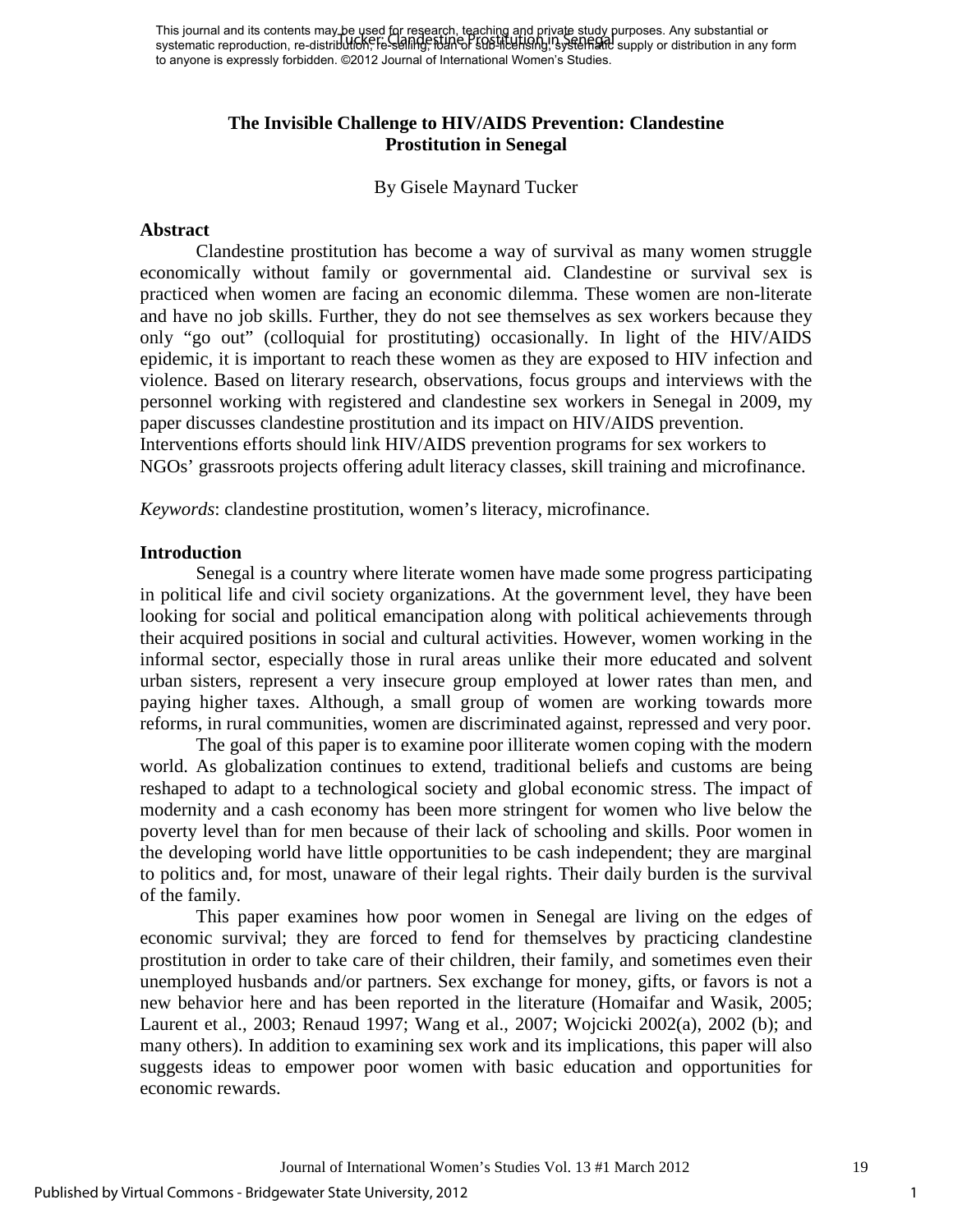This journal and its contents may be used for research, teaching and private study purposes. Any substantial or systematic reproduction, re-distributi<del>on, </del>re-selling, የህብ or sub-licensing,'systematic supply or distribution in any form to anyone is expressly forbidden. ©2012 Journal of International Women's Studies. Tucker: Clandestine Prostitution in Senegal

# **The Invisible Challenge to HIV/AIDS Prevention: Clandestine Prostitution in Senegal**

By Gisele Maynard Tucker

#### **Abstract**

Clandestine prostitution has become a way of survival as many women struggle economically without family or governmental aid. Clandestine or survival sex is practiced when women are facing an economic dilemma. These women are non-literate and have no job skills. Further, they do not see themselves as sex workers because they only "go out" (colloquial for prostituting) occasionally. In light of the HIV/AIDS epidemic, it is important to reach these women as they are exposed to HIV infection and violence. Based on literary research, observations, focus groups and interviews with the personnel working with registered and clandestine sex workers in Senegal in 2009, my paper discusses clandestine prostitution and its impact on HIV/AIDS prevention. Interventions efforts should link HIV/AIDS prevention programs for sex workers to NGOs' grassroots projects offering adult literacy classes, skill training and microfinance.

*Keywords*: clandestine prostitution, women's literacy, microfinance.

#### **Introduction**

Senegal is a country where literate women have made some progress participating in political life and civil society organizations. At the government level, they have been looking for social and political emancipation along with political achievements through their acquired positions in social and cultural activities. However, women working in the informal sector, especially those in rural areas unlike their more educated and solvent urban sisters, represent a very insecure group employed at lower rates than men, and paying higher taxes. Although, a small group of women are working towards more reforms, in rural communities, women are discriminated against, repressed and very poor.

The goal of this paper is to examine poor illiterate women coping with the modern world. As globalization continues to extend, traditional beliefs and customs are being reshaped to adapt to a technological society and global economic stress. The impact of modernity and a cash economy has been more stringent for women who live below the poverty level than for men because of their lack of schooling and skills. Poor women in the developing world have little opportunities to be cash independent; they are marginal to politics and, for most, unaware of their legal rights. Their daily burden is the survival of the family.

This paper examines how poor women in Senegal are living on the edges of economic survival; they are forced to fend for themselves by practicing clandestine prostitution in order to take care of their children, their family, and sometimes even their unemployed husbands and/or partners. Sex exchange for money, gifts, or favors is not a new behavior here and has been reported in the literature (Homaifar and Wasik, 2005; Laurent et al., 2003; Renaud 1997; Wang et al., 2007; Wojcicki 2002(a), 2002 (b); and many others). In addition to examining sex work and its implications, this paper will also suggests ideas to empower poor women with basic education and opportunities for economic rewards.

1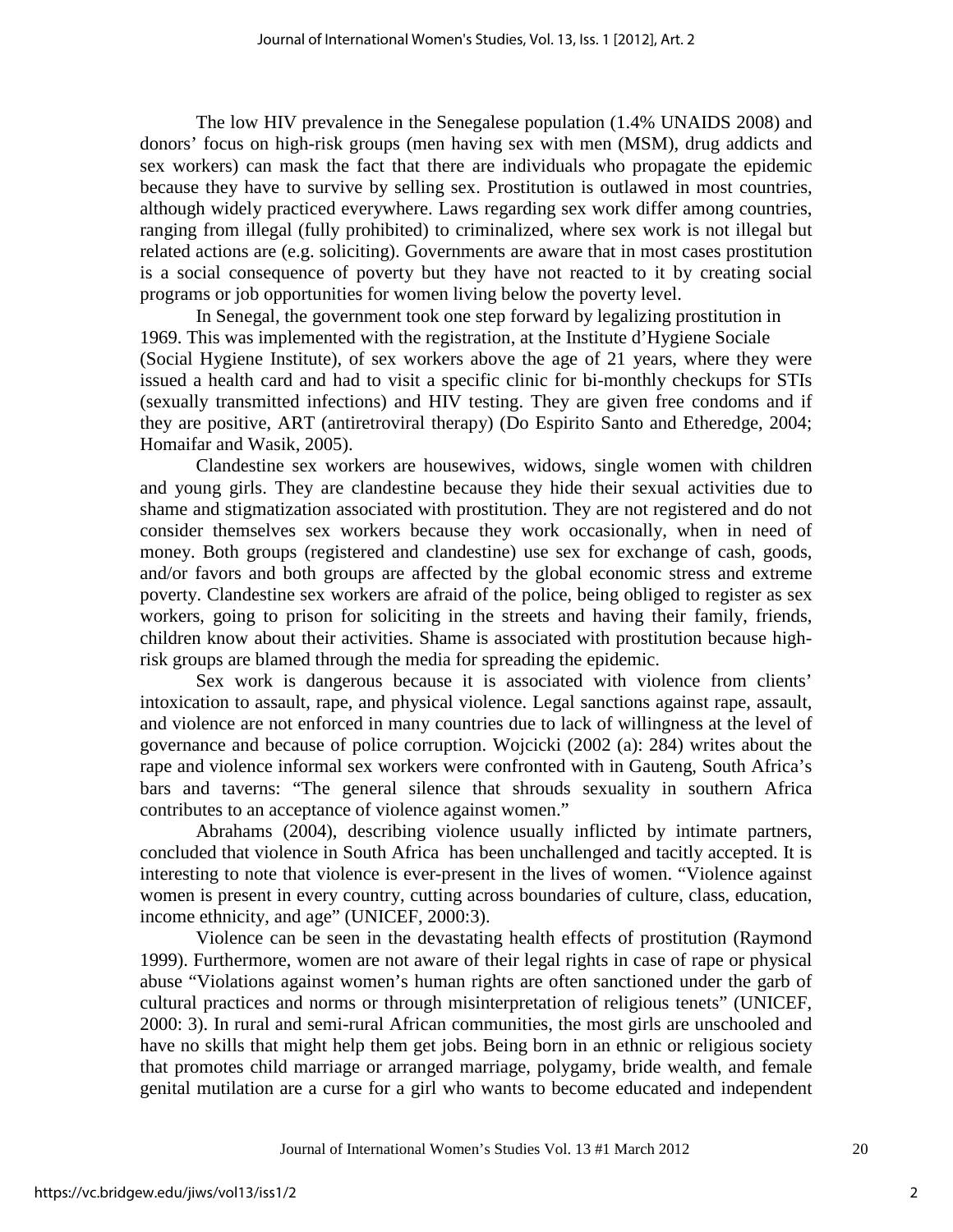The low HIV prevalence in the Senegalese population (1.4% UNAIDS 2008) and donors' focus on high-risk groups (men having sex with men (MSM), drug addicts and sex workers) can mask the fact that there are individuals who propagate the epidemic because they have to survive by selling sex. Prostitution is outlawed in most countries, although widely practiced everywhere. Laws regarding sex work differ among countries, ranging from illegal (fully prohibited) to criminalized, where sex work is not illegal but related actions are (e.g. soliciting). Governments are aware that in most cases prostitution is a social consequence of poverty but they have not reacted to it by creating social programs or job opportunities for women living below the poverty level.

In Senegal, the government took one step forward by legalizing prostitution in 1969. This was implemented with the registration, at the Institute d'Hygiene Sociale (Social Hygiene Institute), of sex workers above the age of 21 years, where they were issued a health card and had to visit a specific clinic for bi-monthly checkups for STIs (sexually transmitted infections) and HIV testing. They are given free condoms and if they are positive, ART (antiretroviral therapy) (Do Espirito Santo and Etheredge, 2004; Homaifar and Wasik, 2005).

Clandestine sex workers are housewives, widows, single women with children and young girls. They are clandestine because they hide their sexual activities due to shame and stigmatization associated with prostitution. They are not registered and do not consider themselves sex workers because they work occasionally, when in need of money. Both groups (registered and clandestine) use sex for exchange of cash, goods, and/or favors and both groups are affected by the global economic stress and extreme poverty. Clandestine sex workers are afraid of the police, being obliged to register as sex workers, going to prison for soliciting in the streets and having their family, friends, children know about their activities. Shame is associated with prostitution because highrisk groups are blamed through the media for spreading the epidemic.

Sex work is dangerous because it is associated with violence from clients' intoxication to assault, rape, and physical violence. Legal sanctions against rape, assault, and violence are not enforced in many countries due to lack of willingness at the level of governance and because of police corruption. Wojcicki (2002 (a): 284) writes about the rape and violence informal sex workers were confronted with in Gauteng, South Africa's bars and taverns: "The general silence that shrouds sexuality in southern Africa contributes to an acceptance of violence against women."

Abrahams (2004), describing violence usually inflicted by intimate partners, concluded that violence in South Africa has been unchallenged and tacitly accepted. It is interesting to note that violence is ever-present in the lives of women. "Violence against women is present in every country, cutting across boundaries of culture, class, education, income ethnicity, and age" (UNICEF, 2000:3).

Violence can be seen in the devastating health effects of prostitution (Raymond 1999). Furthermore, women are not aware of their legal rights in case of rape or physical abuse "Violations against women's human rights are often sanctioned under the garb of cultural practices and norms or through misinterpretation of religious tenets" (UNICEF, 2000: 3). In rural and semi-rural African communities, the most girls are unschooled and have no skills that might help them get jobs. Being born in an ethnic or religious society that promotes child marriage or arranged marriage, polygamy, bride wealth, and female genital mutilation are a curse for a girl who wants to become educated and independent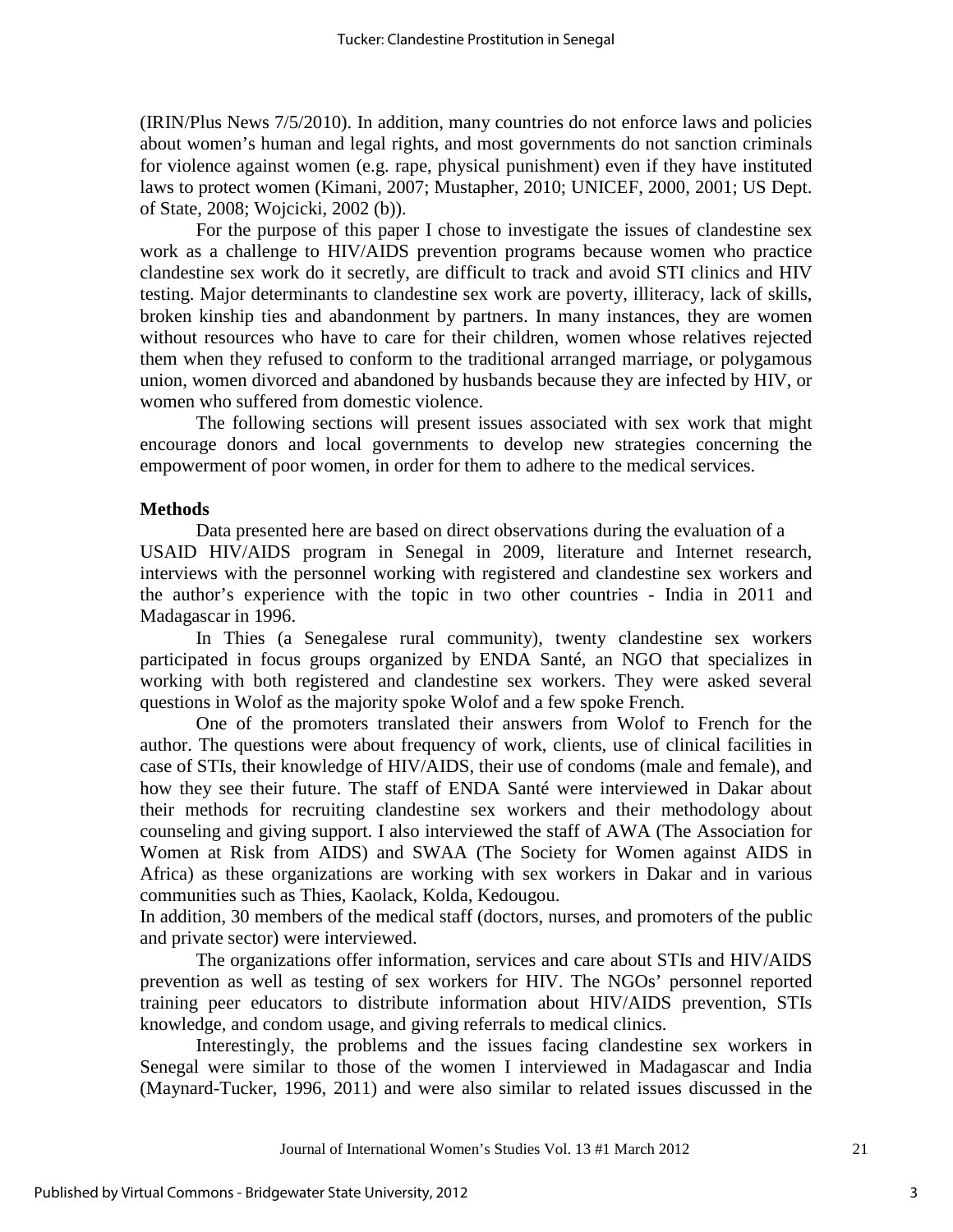(IRIN/Plus News 7/5/2010). In addition, many countries do not enforce laws and policies about women's human and legal rights, and most governments do not sanction criminals for violence against women (e.g. rape, physical punishment) even if they have instituted laws to protect women (Kimani, 2007; Mustapher, 2010; UNICEF, 2000, 2001; US Dept. of State, 2008; Wojcicki, 2002 (b)).

For the purpose of this paper I chose to investigate the issues of clandestine sex work as a challenge to HIV/AIDS prevention programs because women who practice clandestine sex work do it secretly, are difficult to track and avoid STI clinics and HIV testing. Major determinants to clandestine sex work are poverty, illiteracy, lack of skills, broken kinship ties and abandonment by partners. In many instances, they are women without resources who have to care for their children, women whose relatives rejected them when they refused to conform to the traditional arranged marriage, or polygamous union, women divorced and abandoned by husbands because they are infected by HIV, or women who suffered from domestic violence.

The following sections will present issues associated with sex work that might encourage donors and local governments to develop new strategies concerning the empowerment of poor women, in order for them to adhere to the medical services.

# **Methods**

Data presented here are based on direct observations during the evaluation of a USAID HIV/AIDS program in Senegal in 2009, literature and Internet research, interviews with the personnel working with registered and clandestine sex workers and the author's experience with the topic in two other countries - India in 2011 and Madagascar in 1996.

In Thies (a Senegalese rural community), twenty clandestine sex workers participated in focus groups organized by ENDA Santé, an NGO that specializes in working with both registered and clandestine sex workers. They were asked several questions in Wolof as the majority spoke Wolof and a few spoke French.

One of the promoters translated their answers from Wolof to French for the author. The questions were about frequency of work, clients, use of clinical facilities in case of STIs, their knowledge of HIV/AIDS, their use of condoms (male and female), and how they see their future. The staff of ENDA Santé were interviewed in Dakar about their methods for recruiting clandestine sex workers and their methodology about counseling and giving support. I also interviewed the staff of AWA (The Association for Women at Risk from AIDS) and SWAA (The Society for Women against AIDS in Africa) as these organizations are working with sex workers in Dakar and in various communities such as Thies, Kaolack, Kolda, Kedougou.

In addition, 30 members of the medical staff (doctors, nurses, and promoters of the public and private sector) were interviewed.

The organizations offer information, services and care about STIs and HIV/AIDS prevention as well as testing of sex workers for HIV. The NGOs' personnel reported training peer educators to distribute information about HIV/AIDS prevention, STIs knowledge, and condom usage, and giving referrals to medical clinics.

Interestingly, the problems and the issues facing clandestine sex workers in Senegal were similar to those of the women I interviewed in Madagascar and India (Maynard-Tucker, 1996, 2011) and were also similar to related issues discussed in the

3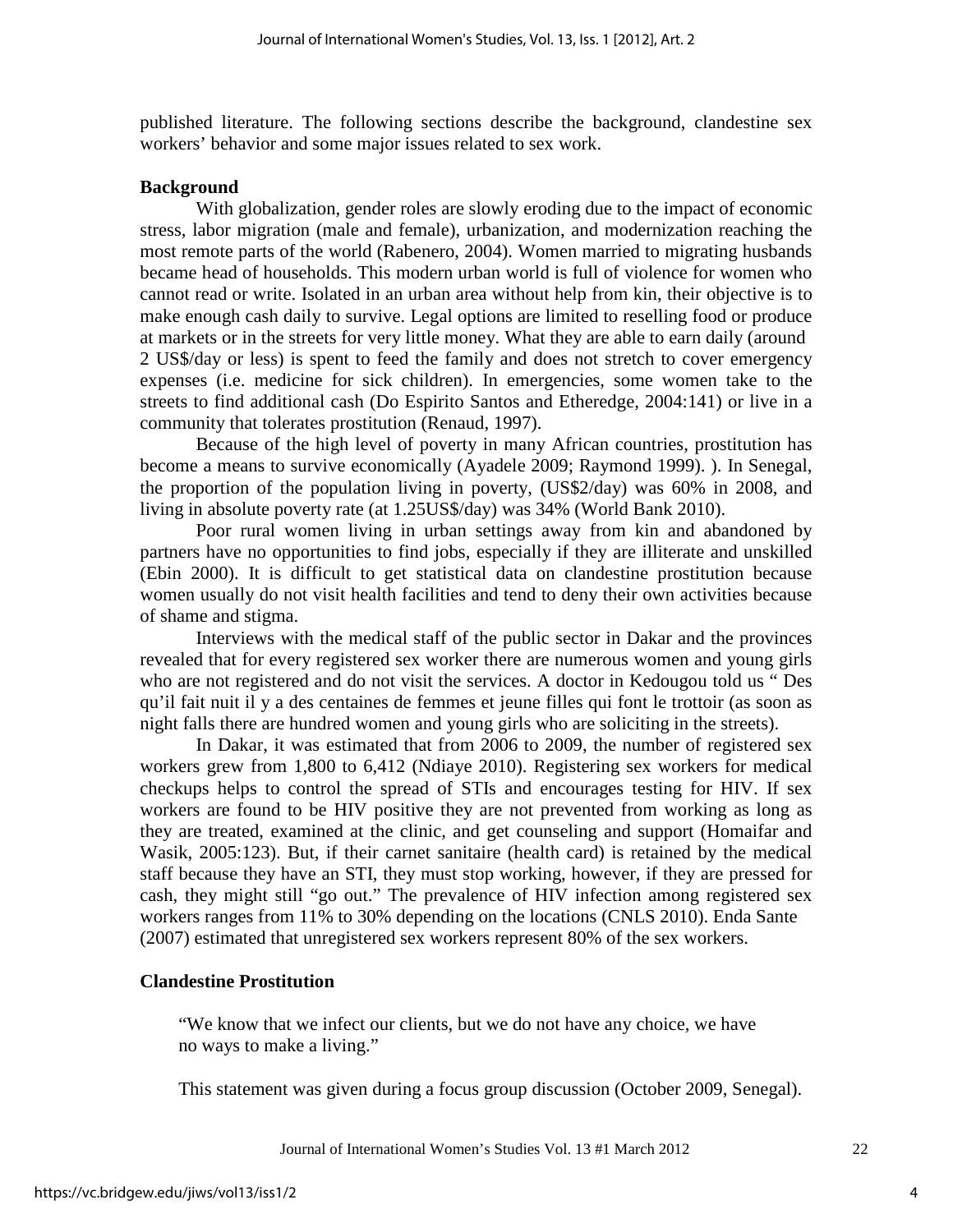published literature. The following sections describe the background, clandestine sex workers' behavior and some major issues related to sex work.

#### **Background**

With globalization, gender roles are slowly eroding due to the impact of economic stress, labor migration (male and female), urbanization, and modernization reaching the most remote parts of the world (Rabenero, 2004). Women married to migrating husbands became head of households. This modern urban world is full of violence for women who cannot read or write. Isolated in an urban area without help from kin, their objective is to make enough cash daily to survive. Legal options are limited to reselling food or produce at markets or in the streets for very little money. What they are able to earn daily (around 2 US\$/day or less) is spent to feed the family and does not stretch to cover emergency expenses (i.e. medicine for sick children). In emergencies, some women take to the streets to find additional cash (Do Espirito Santos and Etheredge, 2004:141) or live in a community that tolerates prostitution (Renaud, 1997).

Because of the high level of poverty in many African countries, prostitution has become a means to survive economically (Ayadele 2009; Raymond 1999). ). In Senegal, the proportion of the population living in poverty, (US\$2/day) was 60% in 2008, and living in absolute poverty rate (at 1.25US\$/day) was 34% (World Bank 2010).

Poor rural women living in urban settings away from kin and abandoned by partners have no opportunities to find jobs, especially if they are illiterate and unskilled (Ebin 2000). It is difficult to get statistical data on clandestine prostitution because women usually do not visit health facilities and tend to deny their own activities because of shame and stigma.

Interviews with the medical staff of the public sector in Dakar and the provinces revealed that for every registered sex worker there are numerous women and young girls who are not registered and do not visit the services. A doctor in Kedougou told us " Des qu'il fait nuit il y a des centaines de femmes et jeune filles qui font le trottoir (as soon as night falls there are hundred women and young girls who are soliciting in the streets).

In Dakar, it was estimated that from 2006 to 2009, the number of registered sex workers grew from 1,800 to 6,412 (Ndiaye 2010). Registering sex workers for medical checkups helps to control the spread of STIs and encourages testing for HIV. If sex workers are found to be HIV positive they are not prevented from working as long as they are treated, examined at the clinic, and get counseling and support (Homaifar and Wasik, 2005:123). But, if their carnet sanitaire (health card) is retained by the medical staff because they have an STI, they must stop working, however, if they are pressed for cash, they might still "go out." The prevalence of HIV infection among registered sex workers ranges from 11% to 30% depending on the locations (CNLS 2010). Enda Sante (2007) estimated that unregistered sex workers represent 80% of the sex workers.

#### **Clandestine Prostitution**

"We know that we infect our clients, but we do not have any choice, we have no ways to make a living."

This statement was given during a focus group discussion (October 2009, Senegal).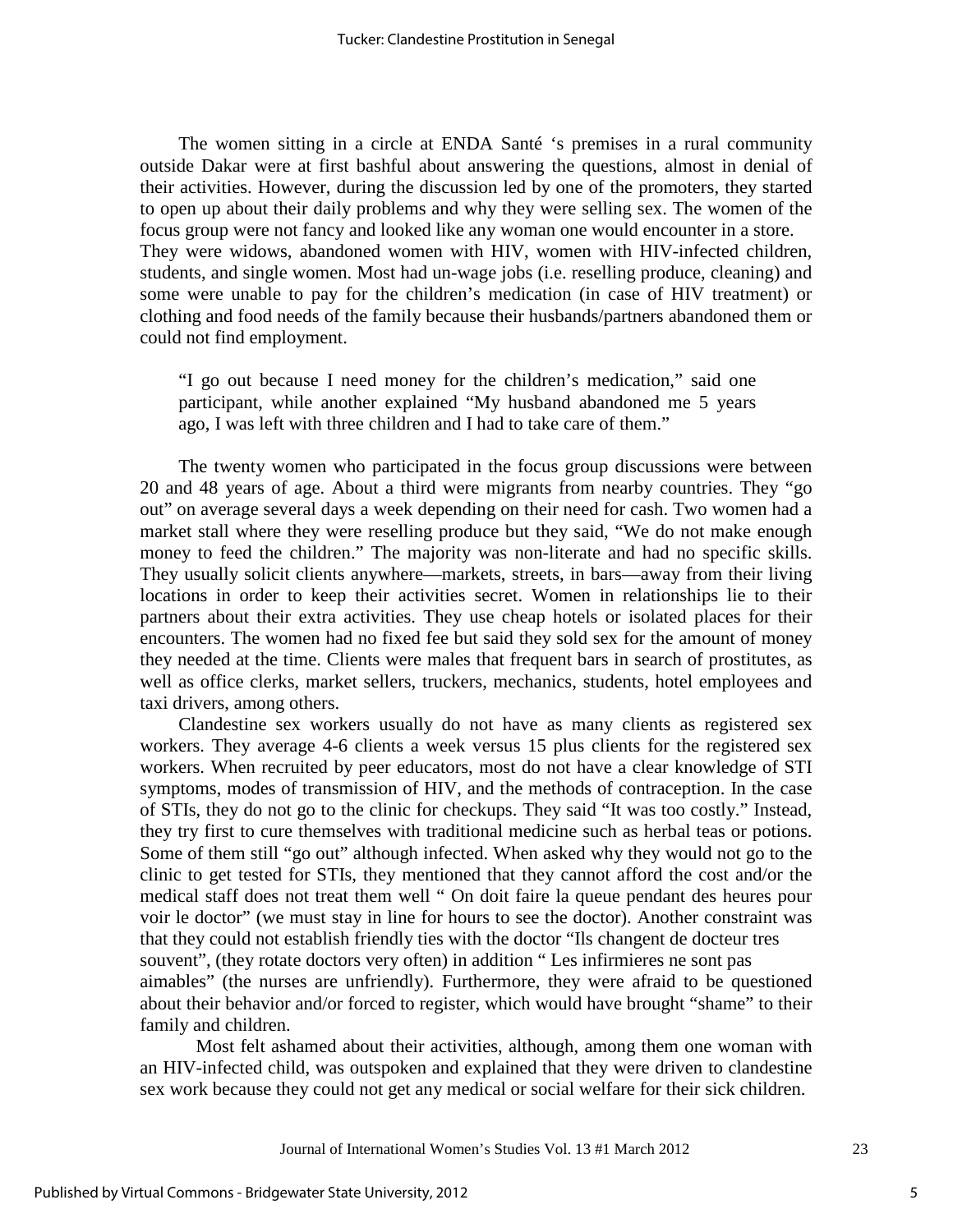The women sitting in a circle at ENDA Santé 's premises in a rural community outside Dakar were at first bashful about answering the questions, almost in denial of their activities. However, during the discussion led by one of the promoters, they started to open up about their daily problems and why they were selling sex. The women of the focus group were not fancy and looked like any woman one would encounter in a store. They were widows, abandoned women with HIV, women with HIV-infected children, students, and single women. Most had un-wage jobs (i.e. reselling produce, cleaning) and some were unable to pay for the children's medication (in case of HIV treatment) or clothing and food needs of the family because their husbands/partners abandoned them or could not find employment.

"I go out because I need money for the children's medication," said one participant, while another explained "My husband abandoned me 5 years ago, I was left with three children and I had to take care of them."

The twenty women who participated in the focus group discussions were between 20 and 48 years of age. About a third were migrants from nearby countries. They "go out" on average several days a week depending on their need for cash. Two women had a market stall where they were reselling produce but they said, "We do not make enough money to feed the children." The majority was non-literate and had no specific skills. They usually solicit clients anywhere—markets, streets, in bars—away from their living locations in order to keep their activities secret. Women in relationships lie to their partners about their extra activities. They use cheap hotels or isolated places for their encounters. The women had no fixed fee but said they sold sex for the amount of money they needed at the time. Clients were males that frequent bars in search of prostitutes, as well as office clerks, market sellers, truckers, mechanics, students, hotel employees and taxi drivers, among others.

Clandestine sex workers usually do not have as many clients as registered sex workers. They average 4-6 clients a week versus 15 plus clients for the registered sex workers. When recruited by peer educators, most do not have a clear knowledge of STI symptoms, modes of transmission of HIV, and the methods of contraception. In the case of STIs, they do not go to the clinic for checkups. They said "It was too costly." Instead, they try first to cure themselves with traditional medicine such as herbal teas or potions. Some of them still "go out" although infected. When asked why they would not go to the clinic to get tested for STIs, they mentioned that they cannot afford the cost and/or the medical staff does not treat them well " On doit faire la queue pendant des heures pour voir le doctor" (we must stay in line for hours to see the doctor). Another constraint was that they could not establish friendly ties with the doctor "Ils changent de docteur tres souvent", (they rotate doctors very often) in addition " Les infirmieres ne sont pas aimables" (the nurses are unfriendly). Furthermore, they were afraid to be questioned about their behavior and/or forced to register, which would have brought "shame" to their family and children.

Most felt ashamed about their activities, although, among them one woman with an HIV-infected child, was outspoken and explained that they were driven to clandestine sex work because they could not get any medical or social welfare for their sick children.

5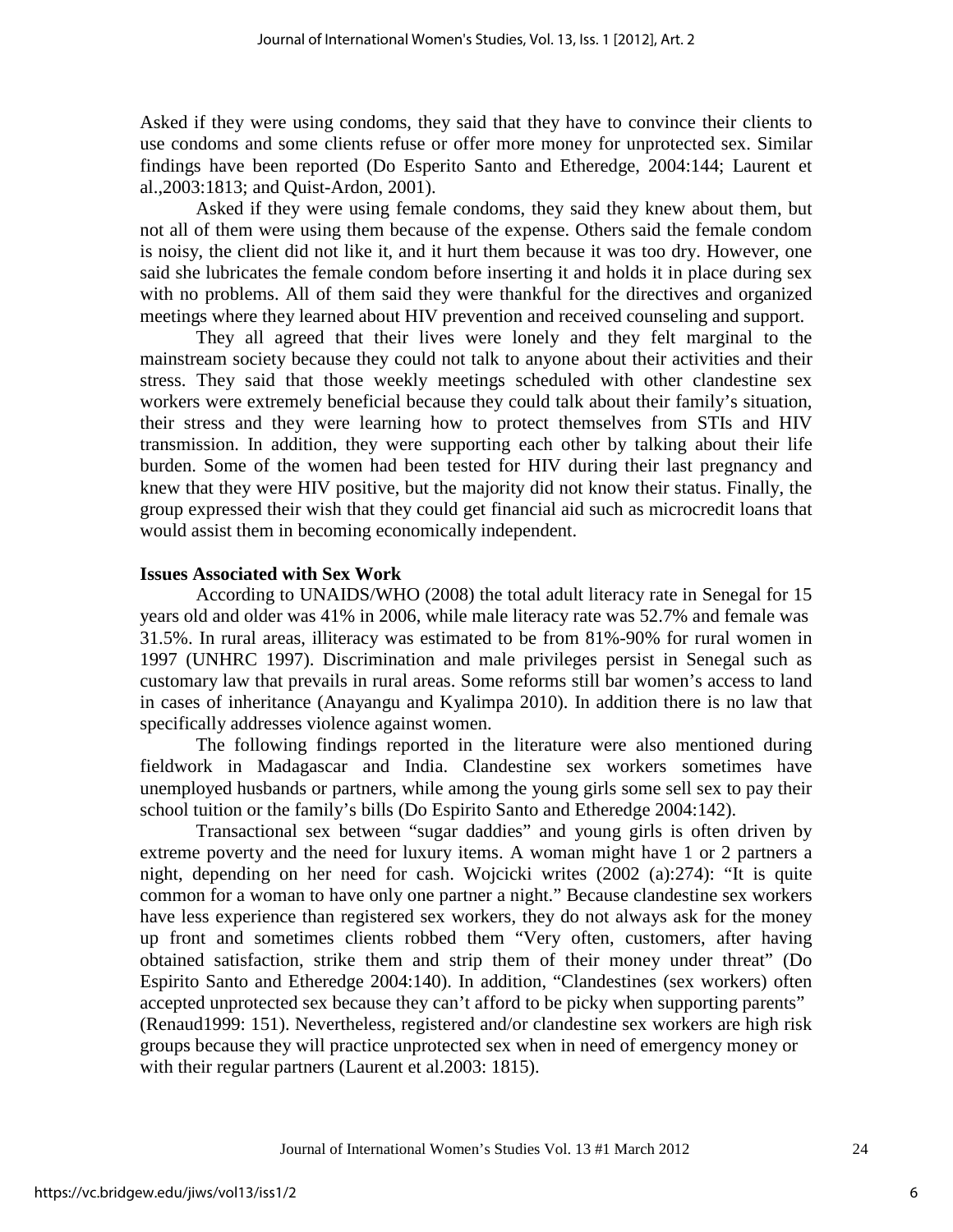Asked if they were using condoms, they said that they have to convince their clients to use condoms and some clients refuse or offer more money for unprotected sex. Similar findings have been reported (Do Esperito Santo and Etheredge, 2004:144; Laurent et al.,2003:1813; and Quist-Ardon, 2001).

Asked if they were using female condoms, they said they knew about them, but not all of them were using them because of the expense. Others said the female condom is noisy, the client did not like it, and it hurt them because it was too dry. However, one said she lubricates the female condom before inserting it and holds it in place during sex with no problems. All of them said they were thankful for the directives and organized meetings where they learned about HIV prevention and received counseling and support.

They all agreed that their lives were lonely and they felt marginal to the mainstream society because they could not talk to anyone about their activities and their stress. They said that those weekly meetings scheduled with other clandestine sex workers were extremely beneficial because they could talk about their family's situation, their stress and they were learning how to protect themselves from STIs and HIV transmission. In addition, they were supporting each other by talking about their life burden. Some of the women had been tested for HIV during their last pregnancy and knew that they were HIV positive, but the majority did not know their status. Finally, the group expressed their wish that they could get financial aid such as microcredit loans that would assist them in becoming economically independent.

## **Issues Associated with Sex Work**

According to UNAIDS/WHO (2008) the total adult literacy rate in Senegal for 15 years old and older was 41% in 2006, while male literacy rate was 52.7% and female was 31.5%. In rural areas, illiteracy was estimated to be from 81%-90% for rural women in 1997 (UNHRC 1997). Discrimination and male privileges persist in Senegal such as customary law that prevails in rural areas. Some reforms still bar women's access to land in cases of inheritance (Anayangu and Kyalimpa 2010). In addition there is no law that specifically addresses violence against women.

The following findings reported in the literature were also mentioned during fieldwork in Madagascar and India. Clandestine sex workers sometimes have unemployed husbands or partners, while among the young girls some sell sex to pay their school tuition or the family's bills (Do Espirito Santo and Etheredge 2004:142).

Transactional sex between "sugar daddies" and young girls is often driven by extreme poverty and the need for luxury items. A woman might have 1 or 2 partners a night, depending on her need for cash. Wojcicki writes (2002 (a):274): "It is quite common for a woman to have only one partner a night." Because clandestine sex workers have less experience than registered sex workers, they do not always ask for the money up front and sometimes clients robbed them "Very often, customers, after having obtained satisfaction, strike them and strip them of their money under threat" (Do Espirito Santo and Etheredge 2004:140). In addition, "Clandestines (sex workers) often accepted unprotected sex because they can't afford to be picky when supporting parents" (Renaud1999: 151). Nevertheless, registered and/or clandestine sex workers are high risk groups because they will practice unprotected sex when in need of emergency money or with their regular partners (Laurent et al. 2003: 1815).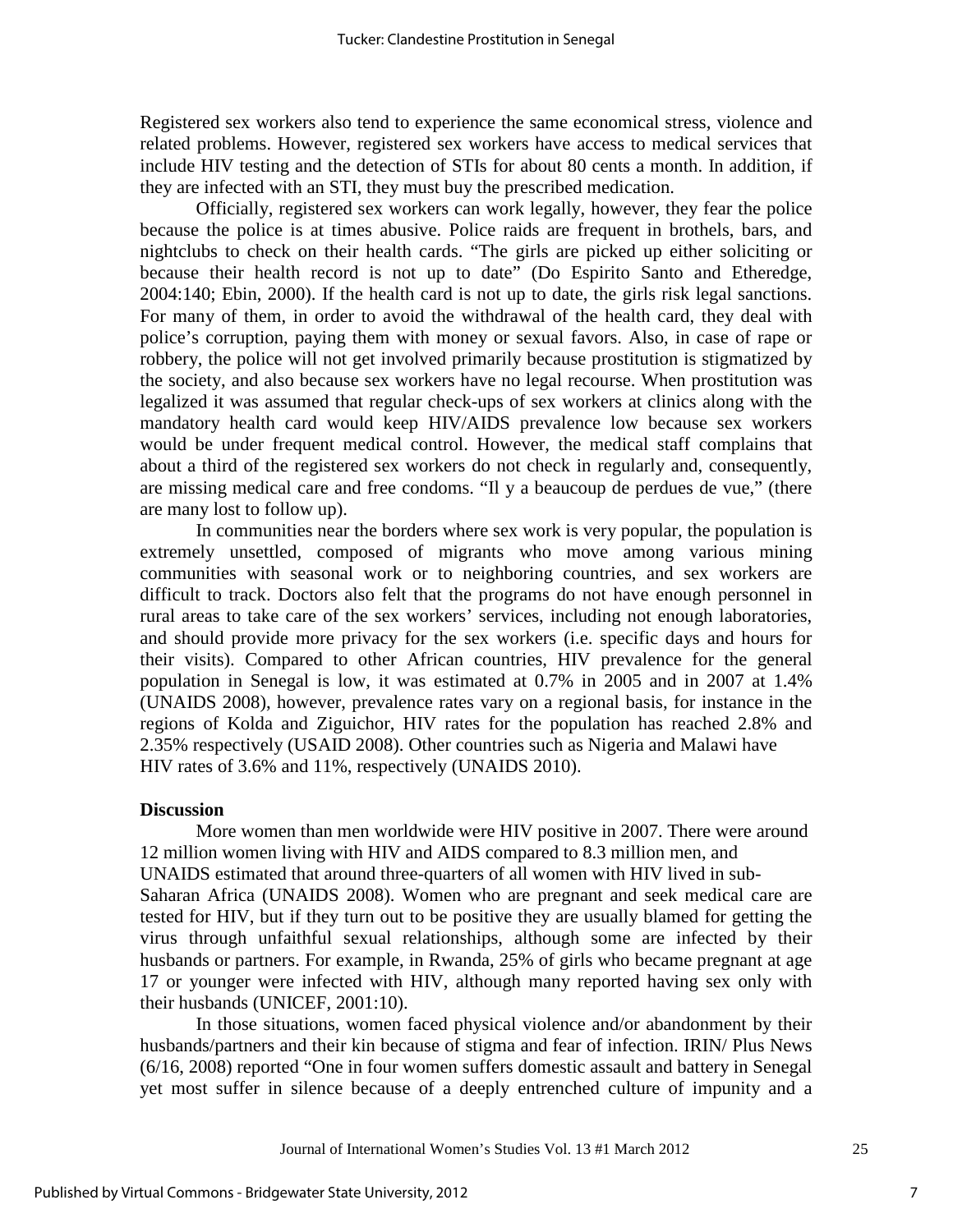Registered sex workers also tend to experience the same economical stress, violence and related problems. However, registered sex workers have access to medical services that include HIV testing and the detection of STIs for about 80 cents a month. In addition, if they are infected with an STI, they must buy the prescribed medication.

Officially, registered sex workers can work legally, however, they fear the police because the police is at times abusive. Police raids are frequent in brothels, bars, and nightclubs to check on their health cards. "The girls are picked up either soliciting or because their health record is not up to date" (Do Espirito Santo and Etheredge, 2004:140; Ebin, 2000). If the health card is not up to date, the girls risk legal sanctions. For many of them, in order to avoid the withdrawal of the health card, they deal with police's corruption, paying them with money or sexual favors. Also, in case of rape or robbery, the police will not get involved primarily because prostitution is stigmatized by the society, and also because sex workers have no legal recourse. When prostitution was legalized it was assumed that regular check-ups of sex workers at clinics along with the mandatory health card would keep HIV/AIDS prevalence low because sex workers would be under frequent medical control. However, the medical staff complains that about a third of the registered sex workers do not check in regularly and, consequently, are missing medical care and free condoms. "Il y a beaucoup de perdues de vue," (there are many lost to follow up).

In communities near the borders where sex work is very popular, the population is extremely unsettled, composed of migrants who move among various mining communities with seasonal work or to neighboring countries, and sex workers are difficult to track. Doctors also felt that the programs do not have enough personnel in rural areas to take care of the sex workers' services, including not enough laboratories, and should provide more privacy for the sex workers (i.e. specific days and hours for their visits). Compared to other African countries, HIV prevalence for the general population in Senegal is low, it was estimated at 0.7% in 2005 and in 2007 at 1.4% (UNAIDS 2008), however, prevalence rates vary on a regional basis, for instance in the regions of Kolda and Ziguichor, HIV rates for the population has reached 2.8% and 2.35% respectively (USAID 2008). Other countries such as Nigeria and Malawi have HIV rates of 3.6% and 11%, respectively (UNAIDS 2010).

#### **Discussion**

More women than men worldwide were HIV positive in 2007. There were around 12 million women living with HIV and AIDS compared to 8.3 million men, and UNAIDS estimated that around three-quarters of all women with HIV lived in sub-Saharan Africa (UNAIDS 2008). Women who are pregnant and seek medical care are tested for HIV, but if they turn out to be positive they are usually blamed for getting the virus through unfaithful sexual relationships, although some are infected by their husbands or partners. For example, in Rwanda, 25% of girls who became pregnant at age 17 or younger were infected with HIV, although many reported having sex only with their husbands (UNICEF, 2001:10).

In those situations, women faced physical violence and/or abandonment by their husbands/partners and their kin because of stigma and fear of infection. IRIN/ Plus News (6/16, 2008) reported "One in four women suffers domestic assault and battery in Senegal yet most suffer in silence because of a deeply entrenched culture of impunity and a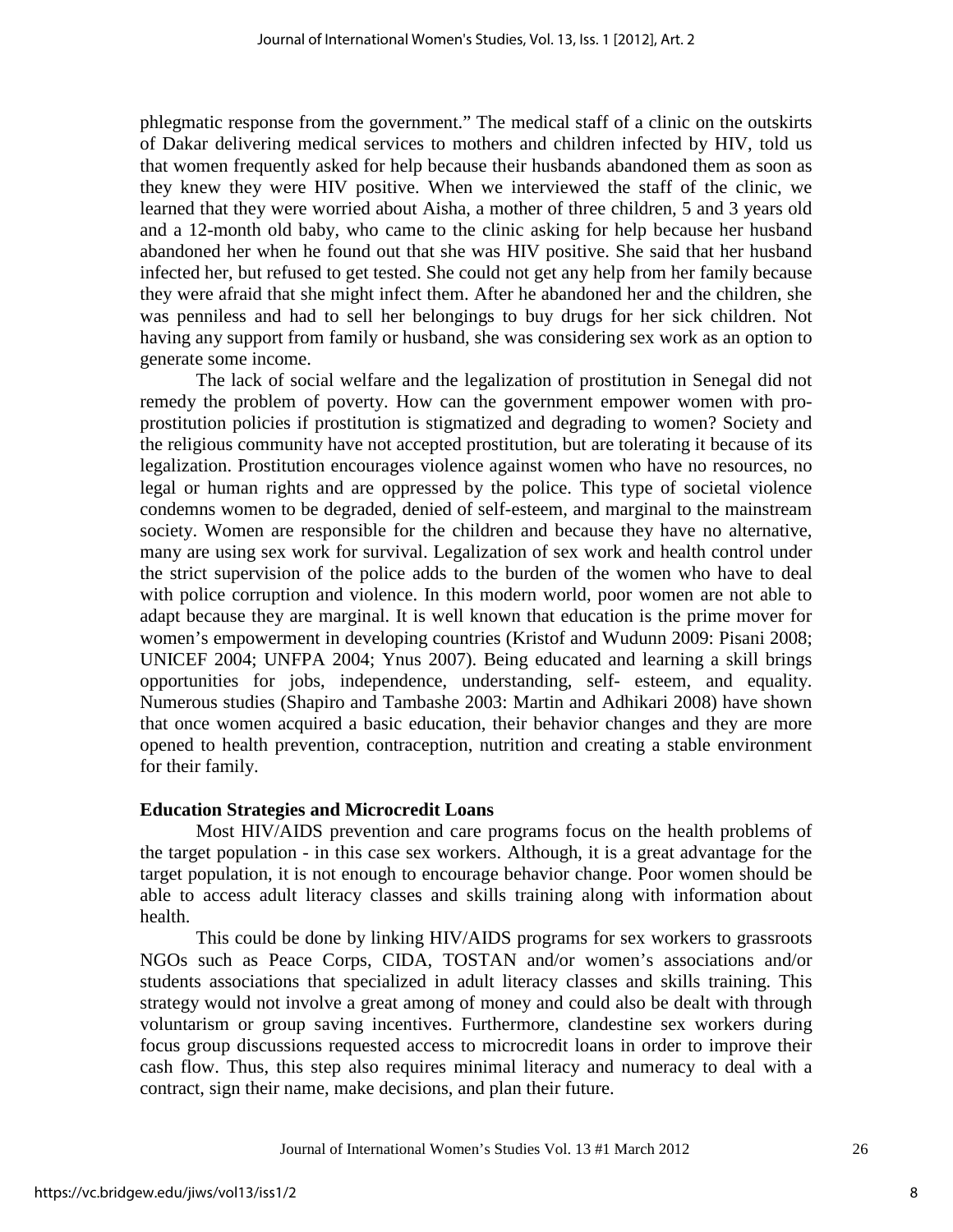phlegmatic response from the government." The medical staff of a clinic on the outskirts of Dakar delivering medical services to mothers and children infected by HIV, told us that women frequently asked for help because their husbands abandoned them as soon as they knew they were HIV positive. When we interviewed the staff of the clinic, we learned that they were worried about Aisha, a mother of three children, 5 and 3 years old and a 12-month old baby, who came to the clinic asking for help because her husband abandoned her when he found out that she was HIV positive. She said that her husband infected her, but refused to get tested. She could not get any help from her family because they were afraid that she might infect them. After he abandoned her and the children, she was penniless and had to sell her belongings to buy drugs for her sick children. Not having any support from family or husband, she was considering sex work as an option to generate some income.

The lack of social welfare and the legalization of prostitution in Senegal did not remedy the problem of poverty. How can the government empower women with proprostitution policies if prostitution is stigmatized and degrading to women? Society and the religious community have not accepted prostitution, but are tolerating it because of its legalization. Prostitution encourages violence against women who have no resources, no legal or human rights and are oppressed by the police. This type of societal violence condemns women to be degraded, denied of self-esteem, and marginal to the mainstream society. Women are responsible for the children and because they have no alternative, many are using sex work for survival. Legalization of sex work and health control under the strict supervision of the police adds to the burden of the women who have to deal with police corruption and violence. In this modern world, poor women are not able to adapt because they are marginal. It is well known that education is the prime mover for women's empowerment in developing countries (Kristof and Wudunn 2009: Pisani 2008; UNICEF 2004; UNFPA 2004; Ynus 2007). Being educated and learning a skill brings opportunities for jobs, independence, understanding, self- esteem, and equality. Numerous studies (Shapiro and Tambashe 2003: Martin and Adhikari 2008) have shown that once women acquired a basic education, their behavior changes and they are more opened to health prevention, contraception, nutrition and creating a stable environment for their family.

#### **Education Strategies and Microcredit Loans**

Most HIV/AIDS prevention and care programs focus on the health problems of the target population - in this case sex workers. Although, it is a great advantage for the target population, it is not enough to encourage behavior change. Poor women should be able to access adult literacy classes and skills training along with information about health.

This could be done by linking HIV/AIDS programs for sex workers to grassroots NGOs such as Peace Corps, CIDA, TOSTAN and/or women's associations and/or students associations that specialized in adult literacy classes and skills training. This strategy would not involve a great among of money and could also be dealt with through voluntarism or group saving incentives. Furthermore, clandestine sex workers during focus group discussions requested access to microcredit loans in order to improve their cash flow. Thus, this step also requires minimal literacy and numeracy to deal with a contract, sign their name, make decisions, and plan their future.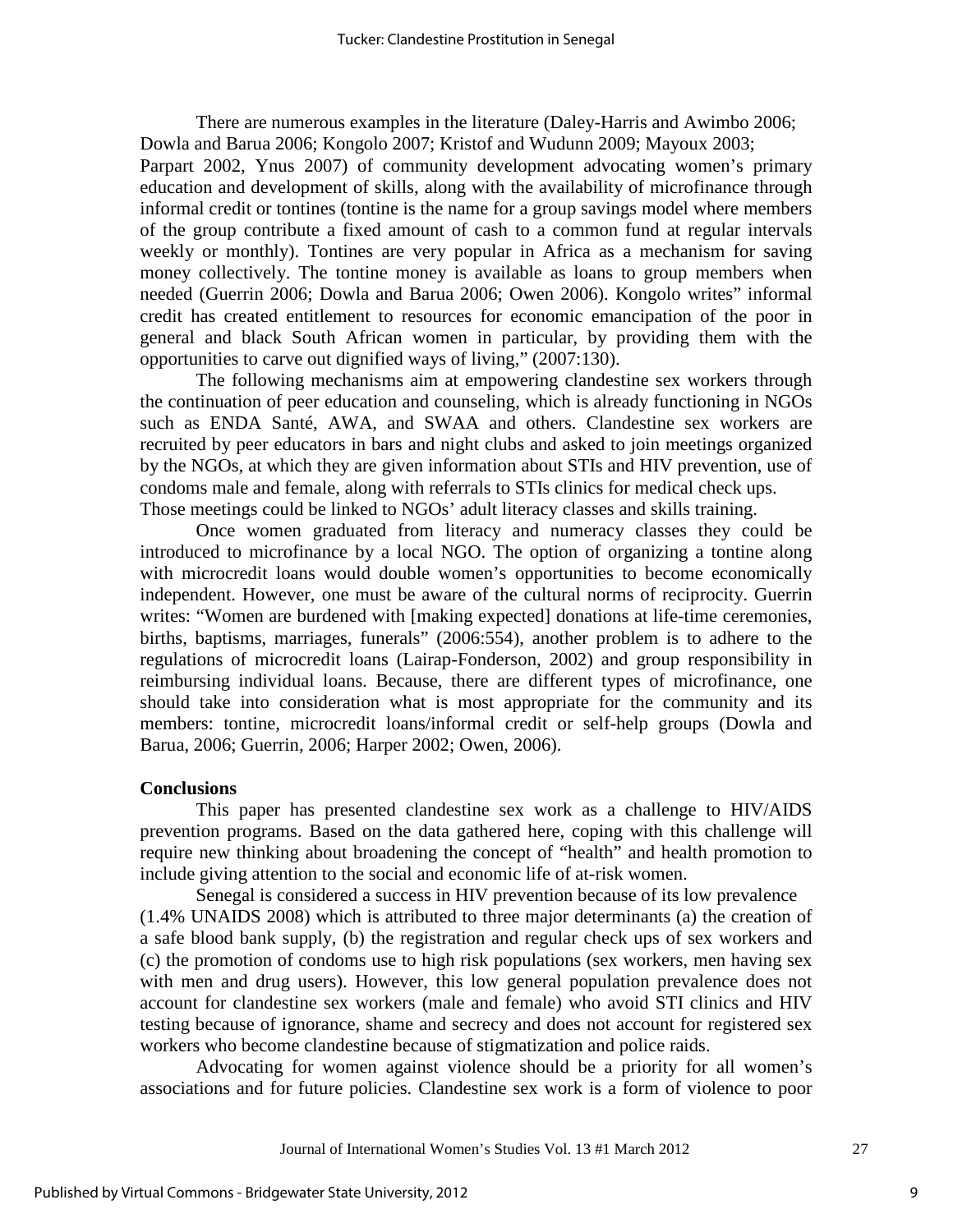There are numerous examples in the literature (Daley-Harris and Awimbo 2006; Dowla and Barua 2006; Kongolo 2007; Kristof and Wudunn 2009; Mayoux 2003;

Parpart 2002, Ynus 2007) of community development advocating women's primary education and development of skills, along with the availability of microfinance through informal credit or tontines (tontine is the name for a group savings model where members of the group contribute a fixed amount of cash to a common fund at regular intervals weekly or monthly). Tontines are very popular in Africa as a mechanism for saving money collectively. The tontine money is available as loans to group members when needed (Guerrin 2006; Dowla and Barua 2006; Owen 2006). Kongolo writes" informal credit has created entitlement to resources for economic emancipation of the poor in general and black South African women in particular, by providing them with the opportunities to carve out dignified ways of living," (2007:130).

The following mechanisms aim at empowering clandestine sex workers through the continuation of peer education and counseling, which is already functioning in NGOs such as ENDA Santé, AWA, and SWAA and others. Clandestine sex workers are recruited by peer educators in bars and night clubs and asked to join meetings organized by the NGOs, at which they are given information about STIs and HIV prevention, use of condoms male and female, along with referrals to STIs clinics for medical check ups. Those meetings could be linked to NGOs' adult literacy classes and skills training.

Once women graduated from literacy and numeracy classes they could be introduced to microfinance by a local NGO. The option of organizing a tontine along with microcredit loans would double women's opportunities to become economically independent. However, one must be aware of the cultural norms of reciprocity. Guerrin writes: "Women are burdened with [making expected] donations at life-time ceremonies, births, baptisms, marriages, funerals" (2006:554), another problem is to adhere to the regulations of microcredit loans (Lairap-Fonderson, 2002) and group responsibility in reimbursing individual loans. Because, there are different types of microfinance, one should take into consideration what is most appropriate for the community and its members: tontine, microcredit loans/informal credit or self-help groups (Dowla and Barua, 2006; Guerrin, 2006; Harper 2002; Owen, 2006).

#### **Conclusions**

This paper has presented clandestine sex work as a challenge to HIV/AIDS prevention programs. Based on the data gathered here, coping with this challenge will require new thinking about broadening the concept of "health" and health promotion to include giving attention to the social and economic life of at-risk women.

Senegal is considered a success in HIV prevention because of its low prevalence (1.4% UNAIDS 2008) which is attributed to three major determinants (a) the creation of a safe blood bank supply, (b) the registration and regular check ups of sex workers and (c) the promotion of condoms use to high risk populations (sex workers, men having sex with men and drug users). However, this low general population prevalence does not account for clandestine sex workers (male and female) who avoid STI clinics and HIV testing because of ignorance, shame and secrecy and does not account for registered sex workers who become clandestine because of stigmatization and police raids.

Advocating for women against violence should be a priority for all women's associations and for future policies. Clandestine sex work is a form of violence to poor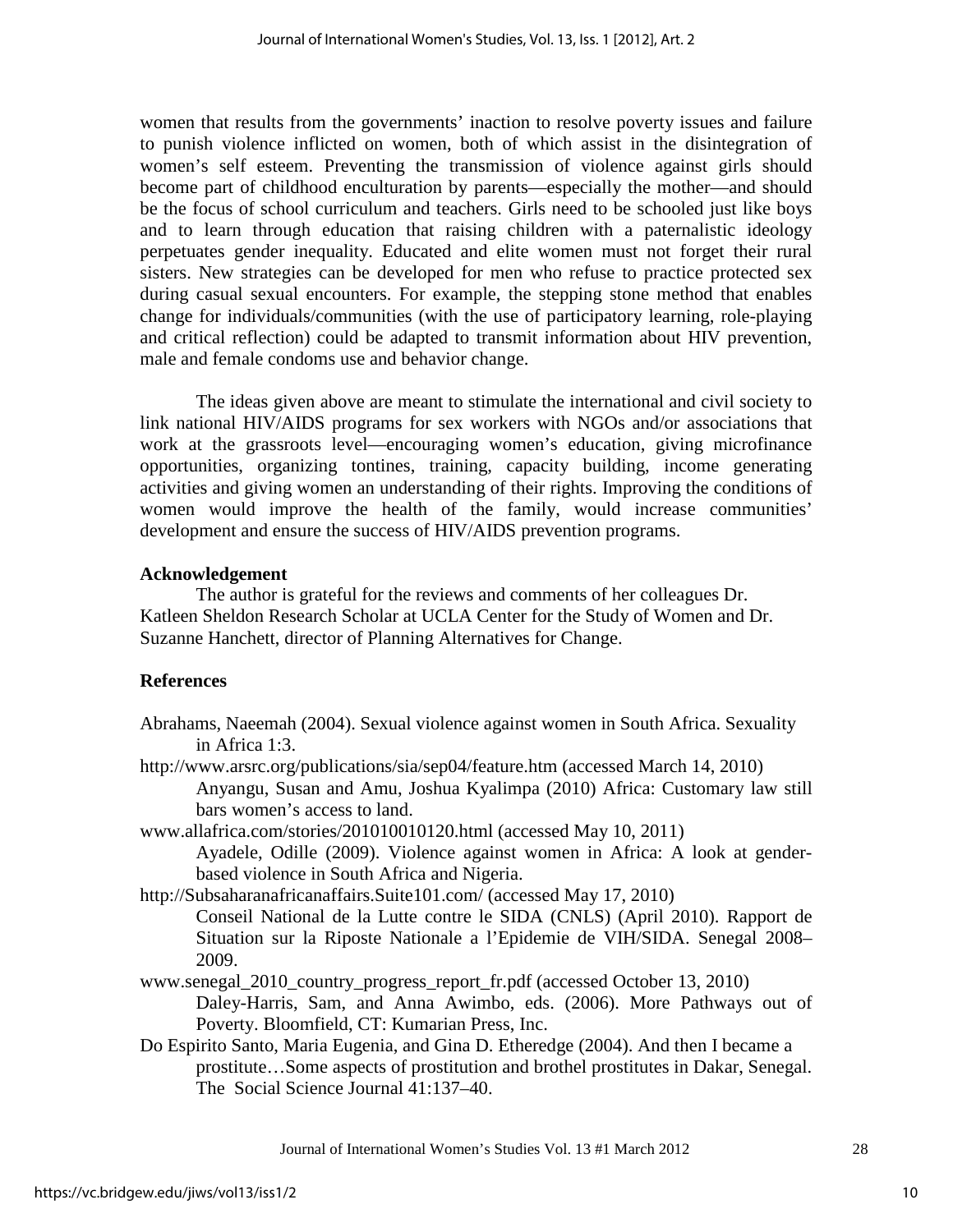women that results from the governments' inaction to resolve poverty issues and failure to punish violence inflicted on women, both of which assist in the disintegration of women's self esteem. Preventing the transmission of violence against girls should become part of childhood enculturation by parents—especially the mother—and should be the focus of school curriculum and teachers. Girls need to be schooled just like boys and to learn through education that raising children with a paternalistic ideology perpetuates gender inequality. Educated and elite women must not forget their rural sisters. New strategies can be developed for men who refuse to practice protected sex during casual sexual encounters. For example, the stepping stone method that enables change for individuals/communities (with the use of participatory learning, role-playing and critical reflection) could be adapted to transmit information about HIV prevention, male and female condoms use and behavior change.

The ideas given above are meant to stimulate the international and civil society to link national HIV/AIDS programs for sex workers with NGOs and/or associations that work at the grassroots level—encouraging women's education, giving microfinance opportunities, organizing tontines, training, capacity building, income generating activities and giving women an understanding of their rights. Improving the conditions of women would improve the health of the family, would increase communities' development and ensure the success of HIV/AIDS prevention programs.

## **Acknowledgement**

The author is grateful for the reviews and comments of her colleagues Dr. Katleen Sheldon Research Scholar at UCLA Center for the Study of Women and Dr. Suzanne Hanchett, director of Planning Alternatives for Change.

# **References**

- Abrahams, Naeemah (2004). Sexual violence against women in South Africa. Sexuality in Africa 1:3.
- http://www.arsrc.org/publications/sia/sep04/feature.htm (accessed March 14, 2010) Anyangu, Susan and Amu, Joshua Kyalimpa (2010) Africa: Customary law still bars women's access to land.
- www.allafrica.com/stories/201010010120.html (accessed May 10, 2011)

Ayadele, Odille (2009). Violence against women in Africa: A look at genderbased violence in South Africa and Nigeria.

http://Subsaharanafricanaffairs.Suite101.com/ (accessed May 17, 2010)

Conseil National de la Lutte contre le SIDA (CNLS) (April 2010). Rapport de Situation sur la Riposte Nationale a l'Epidemie de VIH/SIDA. Senegal 2008– 2009.

- www.senegal\_2010\_country\_progress\_report\_fr.pdf (accessed October 13, 2010) Daley-Harris, Sam, and Anna Awimbo, eds. (2006). More Pathways out of Poverty. Bloomfield, CT: Kumarian Press, Inc.
- Do Espirito Santo, Maria Eugenia, and Gina D. Etheredge (2004). And then I became a prostitute…Some aspects of prostitution and brothel prostitutes in Dakar, Senegal. The Social Science Journal 41:137–40.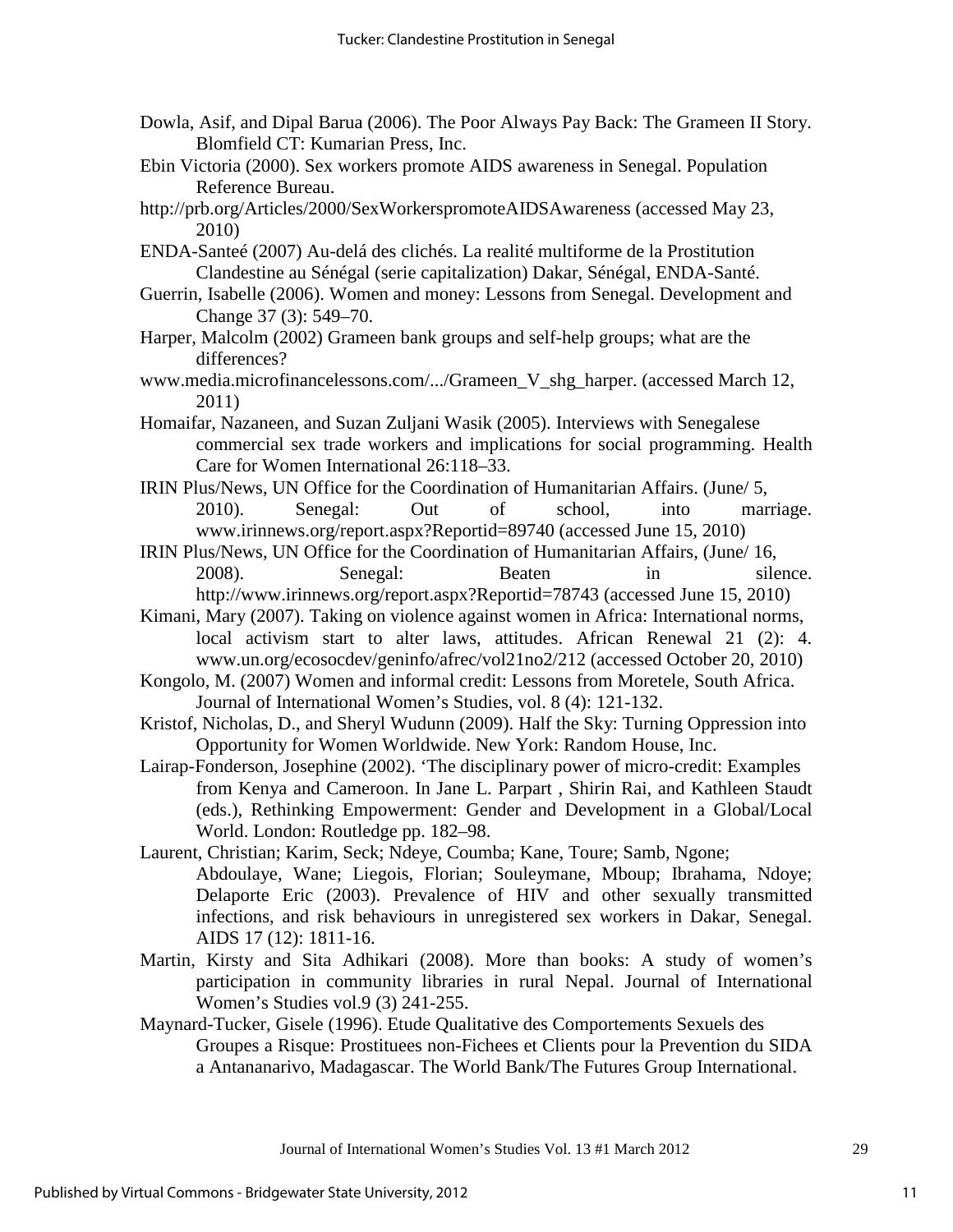- Dowla, Asif, and Dipal Barua (2006). The Poor Always Pay Back: The Grameen II Story. Blomfield CT: Kumarian Press, Inc.
- Ebin Victoria (2000). Sex workers promote AIDS awareness in Senegal. Population Reference Bureau.
- http://prb.org/Articles/2000/SexWorkerspromoteAIDSAwareness (accessed May 23, 2010)
- ENDA-Santeé (2007) Au-delá des clichés. La realité multiforme de la Prostitution Clandestine au Sénégal (serie capitalization) Dakar, Sénégal, ENDA-Santé.
- Guerrin, Isabelle (2006). Women and money: Lessons from Senegal. Development and Change 37 (3): 549–70.
- Harper, Malcolm (2002) Grameen bank groups and self-help groups; what are the differences?
- www.media.microfinancelessons.com/.../Grameen\_V\_shg\_harper. (accessed March 12, 2011)
- Homaifar, Nazaneen, and Suzan Zuljani Wasik (2005). Interviews with Senegalese commercial sex trade workers and implications for social programming. Health Care for Women International 26:118–33.
- IRIN Plus/News, UN Office for the Coordination of Humanitarian Affairs. (June/ 5, 2010). Senegal: Out of school, into marriage. www.irinnews.org/report.aspx?Reportid=89740 (accessed June 15, 2010)
- IRIN Plus/News, UN Office for the Coordination of Humanitarian Affairs, (June/ 16, 2008). Senegal: Beaten in silence. http://www.irinnews.org/report.aspx?Reportid=78743 (accessed June 15, 2010)
- Kimani, Mary (2007). Taking on violence against women in Africa: International norms, local activism start to alter laws, attitudes. African Renewal 21 (2): 4. www.un.org/ecosocdev/geninfo/afrec/vol21no2/212 (accessed October 20, 2010)
- Kongolo, M. (2007) Women and informal credit: Lessons from Moretele, South Africa. Journal of International Women's Studies, vol. 8 (4): 121-132.
- Kristof, Nicholas, D., and Sheryl Wudunn (2009). Half the Sky: Turning Oppression into Opportunity for Women Worldwide. New York: Random House, Inc.
- Lairap-Fonderson, Josephine (2002). 'The disciplinary power of micro-credit: Examples from Kenya and Cameroon. In Jane L. Parpart , Shirin Rai, and Kathleen Staudt (eds.), Rethinking Empowerment: Gender and Development in a Global/Local World. London: Routledge pp. 182–98.
- Laurent, Christian; Karim, Seck; Ndeye, Coumba; Kane, Toure; Samb, Ngone; Abdoulaye, Wane; Liegois, Florian; Souleymane, Mboup; Ibrahama, Ndoye; Delaporte Eric (2003). Prevalence of HIV and other sexually transmitted infections, and risk behaviours in unregistered sex workers in Dakar, Senegal. AIDS 17 (12): 1811-16.
- Martin, Kirsty and Sita Adhikari (2008). More than books: A study of women's participation in community libraries in rural Nepal. Journal of International Women's Studies vol.9 (3) 241-255.
- Maynard-Tucker, Gisele (1996). Etude Qualitative des Comportements Sexuels des Groupes a Risque: Prostituees non-Fichees et Clients pour la Prevention du SIDA a Antananarivo, Madagascar. The World Bank/The Futures Group International.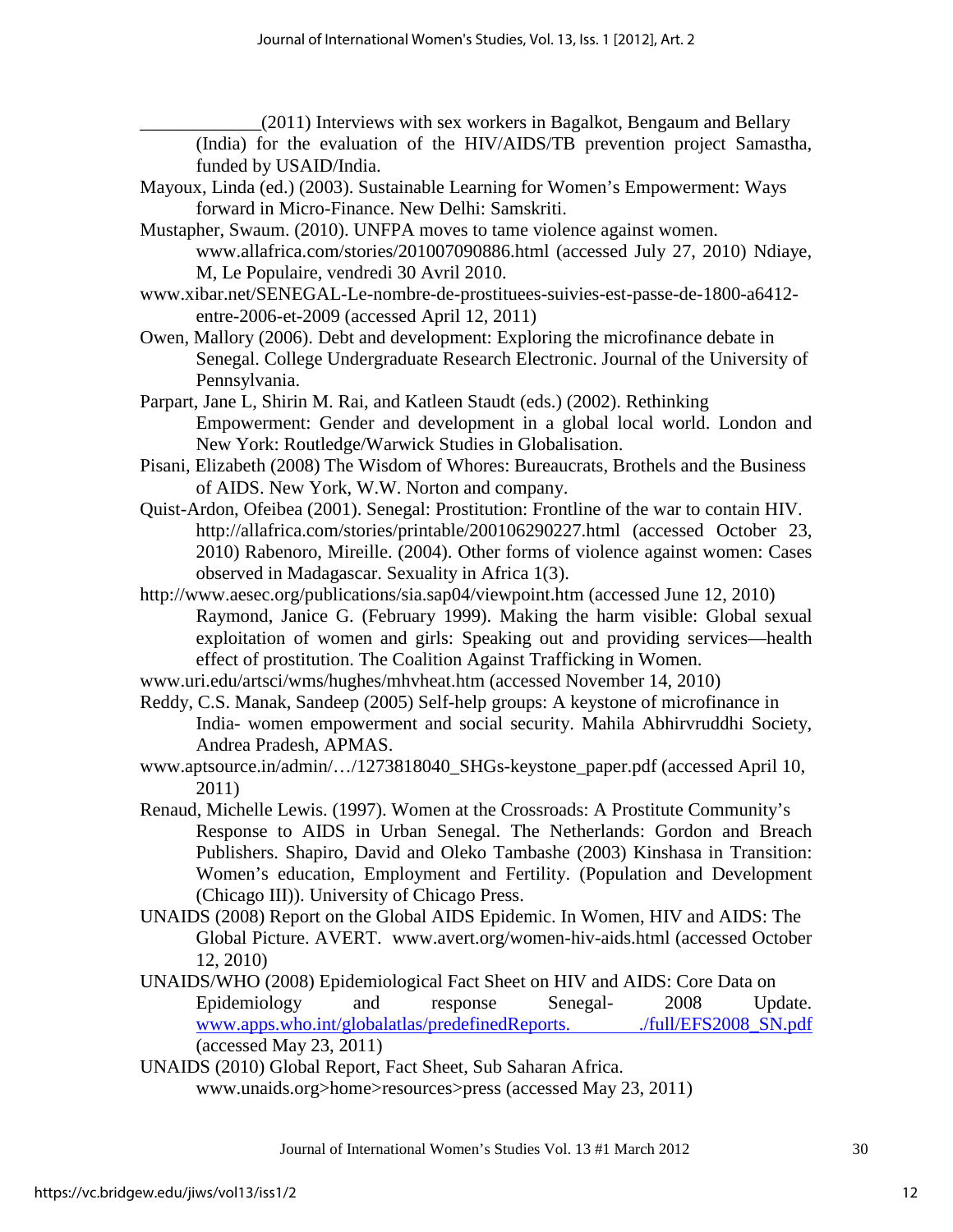\_\_\_\_\_\_\_\_\_\_\_\_\_(2011) Interviews with sex workers in Bagalkot, Bengaum and Bellary

(India) for the evaluation of the HIV/AIDS/TB prevention project Samastha, funded by USAID/India.

- Mayoux, Linda (ed.) (2003). Sustainable Learning for Women's Empowerment: Ways forward in Micro-Finance. New Delhi: Samskriti.
- Mustapher, Swaum. (2010). UNFPA moves to tame violence against women. www.allafrica.com/stories/201007090886.html (accessed July 27, 2010) Ndiaye, M, Le Populaire, vendredi 30 Avril 2010.
- www.xibar.net/SENEGAL-Le-nombre-de-prostituees-suivies-est-passe-de-1800-a6412 entre-2006-et-2009 (accessed April 12, 2011)
- Owen, Mallory (2006). Debt and development: Exploring the microfinance debate in Senegal. College Undergraduate Research Electronic. Journal of the University of Pennsylvania.
- Parpart, Jane L, Shirin M. Rai, and Katleen Staudt (eds.) (2002). Rethinking Empowerment: Gender and development in a global local world. London and New York: Routledge/Warwick Studies in Globalisation.
- Pisani, Elizabeth (2008) The Wisdom of Whores: Bureaucrats, Brothels and the Business of AIDS. New York, W.W. Norton and company.
- Quist-Ardon, Ofeibea (2001). Senegal: Prostitution: Frontline of the war to contain HIV. http://allafrica.com/stories/printable/200106290227.html (accessed October 23, 2010) Rabenoro, Mireille. (2004). Other forms of violence against women: Cases observed in Madagascar. Sexuality in Africa 1(3).
- http://www.aesec.org/publications/sia.sap04/viewpoint.htm (accessed June 12, 2010) Raymond, Janice G. (February 1999). Making the harm visible: Global sexual exploitation of women and girls: Speaking out and providing services—health effect of prostitution. The Coalition Against Trafficking in Women.
- www.uri.edu/artsci/wms/hughes/mhvheat.htm (accessed November 14, 2010)
- Reddy, C.S. Manak, Sandeep (2005) Self-help groups: A keystone of microfinance in India- women empowerment and social security. Mahila Abhirvruddhi Society, Andrea Pradesh, APMAS.
- www.aptsource.in/admin/…/1273818040\_SHGs-keystone\_paper.pdf (accessed April 10, 2011)
- Renaud, Michelle Lewis. (1997). Women at the Crossroads: A Prostitute Community's Response to AIDS in Urban Senegal. The Netherlands: Gordon and Breach Publishers. Shapiro, David and Oleko Tambashe (2003) Kinshasa in Transition: Women's education, Employment and Fertility. (Population and Development (Chicago III)). University of Chicago Press.
- UNAIDS (2008) Report on the Global AIDS Epidemic. In Women, HIV and AIDS: The Global Picture. AVERT. www.avert.org/women-hiv-aids.html (accessed October 12, 2010)
- UNAIDS/WHO (2008) Epidemiological Fact Sheet on HIV and AIDS: Core Data on Epidemiology and response Senegal- 2008 Update. www.apps.who.int/globalatlas/predefinedReports. //full/EFS2008\_SN.pdf (accessed May 23, 2011)
- UNAIDS (2010) Global Report, Fact Sheet, Sub Saharan Africa. www.unaids.org>home>resources>press (accessed May 23, 2011)